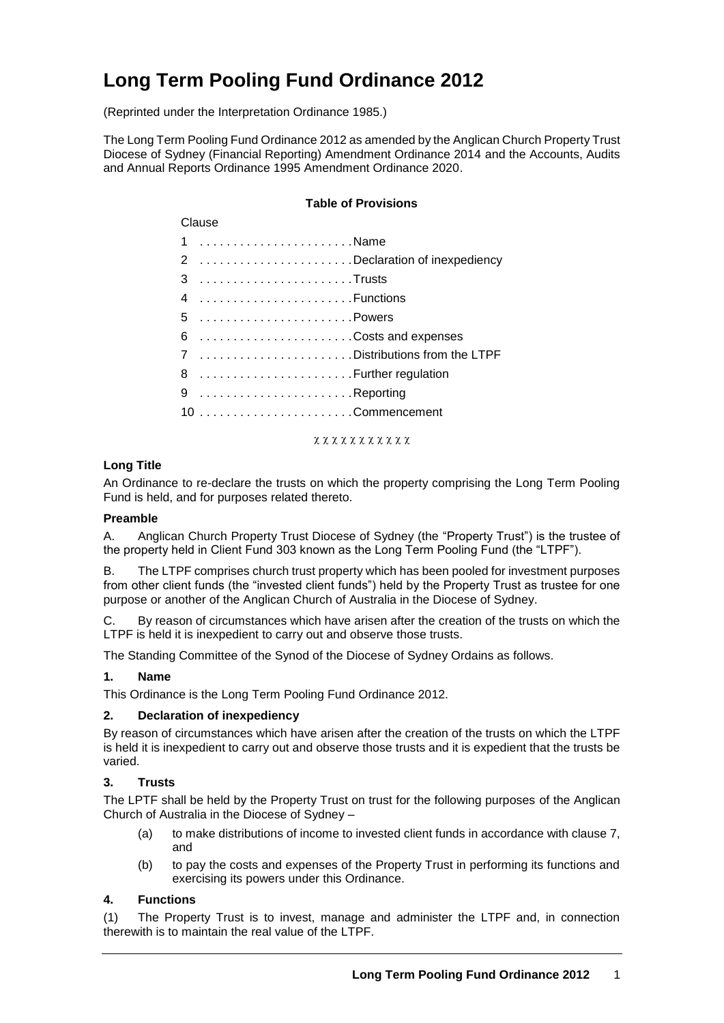# **Long Term Pooling Fund Ordinance 2012**

(Reprinted under the Interpretation Ordinance 1985.)

The Long Term Pooling Fund Ordinance 2012 as amended by the Anglican Church Property Trust Diocese of Sydney (Financial Reporting) Amendment Ordinance 2014 and the Accounts, Audits and Annual Reports Ordinance 1995 Amendment Ordinance 2020.

#### **Table of Provisions**

## Clause 1 . . . . . . . . . . . . . . . . . . . . . . . Name 2 . . . . . . . . . . . . . . . . . . . . . . . Declaration of inexpediency 3 . . . . . . . . . . . . . . . . . . . . . . . Trusts 4 . . . . . . . . . . . . . . . . . . . . . . .Functions 5 . . . . . . . . . . . . . . . . . . . . . . . Powers 6 . . . . . . . . . . . . . . . . . . . . . . .Costs and expenses 7 . . . . . . . . . . . . . . . . . . . . . . . Distributions from the LTPF 8 . . . . . . . . . . . . . . . . . . . . . . . Further regulation 9 . . . . . . . . . . . . . . . . . . . . . . . Reporting 10 . . . . . . . . . . . . . . . . . . . . . . . Commencement

**x x x x x x x x x x x** 

#### **Long Title**

An Ordinance to re-declare the trusts on which the property comprising the Long Term Pooling Fund is held, and for purposes related thereto.

#### **Preamble**

A. Anglican Church Property Trust Diocese of Sydney (the "Property Trust") is the trustee of the property held in Client Fund 303 known as the Long Term Pooling Fund (the "LTPF").

B. The LTPF comprises church trust property which has been pooled for investment purposes from other client funds (the "invested client funds") held by the Property Trust as trustee for one purpose or another of the Anglican Church of Australia in the Diocese of Sydney.

C. By reason of circumstances which have arisen after the creation of the trusts on which the LTPF is held it is inexpedient to carry out and observe those trusts.

The Standing Committee of the Synod of the Diocese of Sydney Ordains as follows.

#### **1. Name**

This Ordinance is the Long Term Pooling Fund Ordinance 2012.

#### **2. Declaration of inexpediency**

By reason of circumstances which have arisen after the creation of the trusts on which the LTPF is held it is inexpedient to carry out and observe those trusts and it is expedient that the trusts be varied.

#### **3. Trusts**

The LPTF shall be held by the Property Trust on trust for the following purposes of the Anglican Church of Australia in the Diocese of Sydney –

- (a) to make distributions of income to invested client funds in accordance with clause 7, and
- (b) to pay the costs and expenses of the Property Trust in performing its functions and exercising its powers under this Ordinance.

#### **4. Functions**

(1) The Property Trust is to invest, manage and administer the LTPF and, in connection therewith is to maintain the real value of the LTPF.